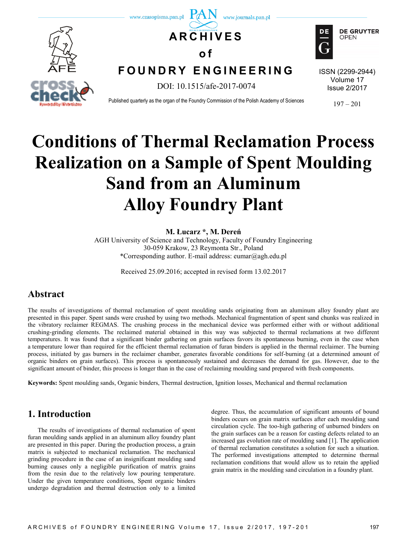

# **Conditions of Thermal Reclamation Process Realization on a Sample of Spent Moulding Sand from an Aluminum Alloy Foundry Plant**

#### **M. Łucarz \*, M. Dereń**

AGH University of Science and Technology, Faculty of Foundry Engineering 30-059 Krakow, 23 Reymonta Str., Poland \*Corresponding author. E-mail address: eumar@agh.edu.pl

Received 25.09.2016; accepted in revised form 13.02.2017

## **Abstract**

The results of investigations of thermal reclamation of spent moulding sands originating from an aluminum alloy foundry plant are presented in this paper. Spent sands were crushed by using two methods. Mechanical fragmentation of spent sand chunks was realized in the vibratory reclaimer REGMAS. The crushing process in the mechanical device was performed either with or without additional crushing-grinding elements. The reclaimed material obtained in this way was subjected to thermal reclamations at two different temperatures. It was found that a significant binder gathering on grain surfaces favors its spontaneous burning, even in the case when a temperature lower than required for the efficient thermal reclamation of furan binders is applied in the thermal reclaimer. The burning process, initiated by gas burners in the reclaimer chamber, generates favorable conditions for self-burning (at a determined amount of organic binders on grain surfaces). This process is spontaneously sustained and decreases the demand for gas. However, due to the significant amount of binder, this process is longer than in the case of reclaiming moulding sand prepared with fresh components.

**Keywords:** Spent moulding sands, Organic binders, Thermal destruction, Ignition losses, Mechanical and thermal reclamation

# **1. Introduction**

The results of investigations of thermal reclamation of spent furan moulding sands applied in an aluminum alloy foundry plant are presented in this paper. During the production process, a grain matrix is subjected to mechanical reclamation. The mechanical grinding procedure in the case of an insignificant moulding sand burning causes only a negligible purification of matrix grains from the resin due to the relatively low pouring temperature. Under the given temperature conditions, Spent organic binders undergo degradation and thermal destruction only to a limited

degree. Thus, the accumulation of significant amounts of bound binders occurs on grain matrix surfaces after each moulding sand circulation cycle. The too-high gathering of unburned binders on the grain surfaces can be a reason for casting defects related to an increased gas evolution rate of moulding sand [1]. The application of thermal reclamation constitutes a solution for such a situation. The performed investigations attempted to determine thermal reclamation conditions that would allow us to retain the applied grain matrix in the moulding sand circulation in a foundry plant.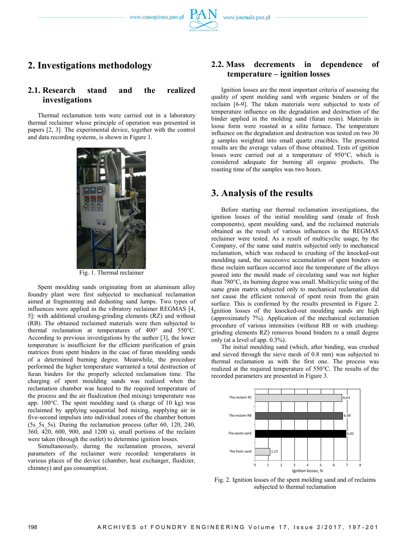## **2. Investigations methodology**

#### **2.1. Research stand and the realized investigations**

Thermal reclamation tests were carried out in a laboratory thermal reclaimer whose principle of operation was presented in papers [2, 3]. The experimental device, together with the control and data recording systems, is shown in Figure 1.



Fig. 1. Thermal reclaimer

Spent moulding sands originating from an aluminum alloy foundry plant were first subjected to mechanical reclamation aimed at fragmenting and dedusting sand lumps. Two types of influences were applied in the vibratory reclaimer REGMAS [4, 5]: with additional crushing-grinding elements (RZ) and without (RB). The obtained reclaimed materials were then subjected to thermal reclamation at temperatures of 400° and 550°C. According to previous investigations by the author [3], the lower temperature is insufficient for the efficient purification of grain matrices from spent binders in the case of furan moulding sands of a determined burning degree. Meanwhile, the procedure performed the higher temperature warranted a total destruction of furan binders for the properly selected reclamation time. The charging of spent moulding sands was realized when the reclamation chamber was heated to the required temperature of the process and the air fluidization (bed mixing) temperature was app. 100°C. The spent moulding sand (a charge of 10 kg) was reclaimed by applying sequential bed mixing, supplying air in five-second impulses into individual zones of the chamber bottom (5s\_5s\_5s). During the reclamation process (after 60, 120, 240, 360, 420, 600, 900, and 1200 s), small portions of the reclaim were taken (through the outlet) to determine ignition losses.

Simultaneously, during the reclamation process, several parameters of the reclaimer were recorded: temperatures in various places of the device (chamber, heat exchanger, fluidizer, chimney) and gas consumption.

#### **2.2. Mass decrements in dependence of temperature – ignition losses**

Ignition losses are the most important criteria of assessing the quality of spent molding sand with organic binders or of the reclaim [6-9]. The taken materials were subjected to tests of temperature influence on the degradation and destruction of the binder applied in the molding sand (furan resin). Materials in loose form were roasted in a silite furnace. The temperature influence on the degradation and destruction was tested on two 30 g samples weighted into small quartz crucibles. The presented results are the average values of those obtained. Tests of ignition losses were carried out at a temperature of 950°C, which is considered adequate for burning all organic products. The roasting time of the samples was two hours.

#### **3. Analysis of the results**

Before starting our thermal reclamation investigations, the ignition losses of the initial moulding sand (made of fresh components), spent moulding sand, and the reclaimed materials obtained as the result of various influences in the REGMAS reclaimer were tested. As a result of multicyclic usage, by the Company, of the same sand matrix subjected only to mechanical reclamation, which was reduced to crushing of the knocked-out moulding sand, the successive accumulation of spent binders on these reclaim surfaces occurred ince the temperature of the alloys poured into the mould made of circulating sand was not higher than 780°C, its burning degree was small. Multicyclic using of the same grain matrix subjected only to mechanical reclamation did not cause the efficient removal of spent resin from the grain surface. This is confirmed by the results presented in Figure 2. Ignition losses of the knocked-out moulding sands are high (approximately 7%). Application of the mechanical reclamation procedure of various intensities (without RB or with crushinggrinding elements RZ) removes bound binders to a small degree only (at a level of app. 0.3%).

The initial moulding sand (which, after binding, was crushed and sieved through the sieve mesh of 0.8 mm) was subjected to thermal reclamation as with the first one. The process was realized at the required temperature of 550°C. The results of the recorded parameters are presented in Figure 3.



Fig. 2. Ignition losses of the spent molding sand and of reclaims subjected to thermal reclamation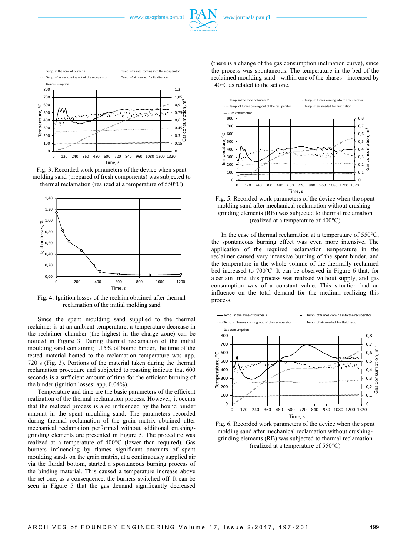







Fig. 4. Ignition losses of the reclaim obtained after thermal reclamation of the initial molding sand

Since the spent moulding sand supplied to the thermal reclaimer is at an ambient temperature, a temperature decrease in the reclaimer chamber (the highest in the charge zone) can be noticed in Figure 3. During thermal reclamation of the initial moulding sand containing 1.15% of bound binder, the time of the tested material heated to the reclamation temperature was app. 720 s (Fig. 3). Portions of the material taken during the thermal reclamation procedure and subjected to roasting indicate that 600 seconds is a sufficient amount of time for the efficient burning of the binder (ignition losses: app. 0.04%).

Temperature and time are the basic parameters of the efficient realization of the thermal reclamation process. However, it occurs that the realized process is also influenced by the bound binder amount in the spent moulding sand. The parameters recorded during thermal reclamation of the grain matrix obtained after mechanical reclamation performed without additional crushinggrinding elements are presented in Figure 5. The procedure was realized at a temperature of 400°C (lower than required). Gas burners influencing by flames significant amounts of spent moulding sands on the grain matrix, at a continuously supplied air via the fluidal bottom, started a spontaneous burning process of the binding material. This caused a temperature increase above the set one; as a consequence, the burners switched off. It can be seen in Figure 5 that the gas demand significantly decreased

(there is a change of the gas consumption inclination curve), since the process was spontaneous. The temperature in the bed of the reclaimed moulding sand - within one of the phases - increased by 140°C as related to the set one.



Fig. 5. Recorded work parameters of the device when the spent molding sand after mechanical reclamation without crushinggrinding elements (RB) was subjected to thermal reclamation (realized at a temperature of 400°C)

In the case of thermal reclamation at a temperature of  $550^{\circ}$ C, the spontaneous burning effect was even more intensive. The application of the required reclamation temperature in the reclaimer caused very intensive burning of the spent binder, and the temperature in the whole volume of the thermally reclaimed bed increased to 700°C. It can be observed in Figure 6 that, for a certain time, this process was realized without supply, and gas consumption was of a constant value. This situation had an influence on the total demand for the medium realizing this process.



Fig. 6. Recorded work parameters of the device when the spent molding sand after mechanical reclamation without crushinggrinding elements (RB) was subjected to thermal reclamation (realized at a temperature of 550°C)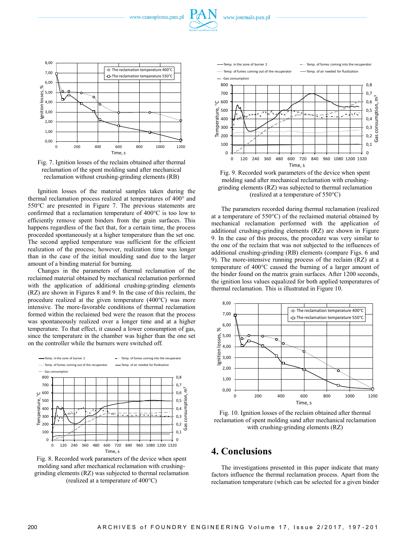www.czasopisma.pan.pl





Fig. 7. Ignition losses of the reclaim obtained after thermal reclamation of the spent molding sand after mechanical reclamation without crushing-grinding elements (RB)

Ignition losses of the material samples taken during the thermal reclamation process realized at temperatures of 400° and 550°C are presented in Figure 7. The previous statements are confirmed that a reclamation temperature of 400°C is too low to efficiently remove spent binders from the grain surfaces. This happens regardless of the fact that, for a certain time, the process proceeded spontaneously at a higher temperature than the set one. The second applied temperature was sufficient for the efficient realization of the process; however, realization time was longer than in the case of the initial moulding sand due to the larger amount of a binding material for burning.

Changes in the parameters of thermal reclamation of the reclaimed material obtained by mechanical reclamation performed with the application of additional crushing-grinding elements (RZ) are shown in Figures 8 and 9. In the case of this reclaim, the procedure realized at the given temperature (400°C) was more intensive. The more-favorable conditions of thermal reclamation formed within the reclaimed bed were the reason that the process was spontaneously realized over a longer time and at a higher temperature. To that effect, it caused a lower consumption of gas, since the temperature in the chamber was higher than the one set on the controller while the burners were switched off.



Fig. 8. Recorded work parameters of the device when spent molding sand after mechanical reclamation with crushinggrinding elements (RZ) was subjected to thermal reclamation (realized at a temperature of 400°C)



Fig. 9. Recorded work parameters of the device when spent molding sand after mechanical reclamation with crushinggrinding elements (RZ) was subjected to thermal reclamation (realized at a temperature of 550°C)

The parameters recorded during thermal reclamation (realized at a temperature of 550°C) of the reclaimed material obtained by mechanical reclamation performed with the application of additional crushing-grinding elements (RZ) are shown in Figure 9. In the case of this process, the procedure was very similar to the one of the reclaim that was not subjected to the influences of additional crushing-grinding (RB) elements (compare Figs. 6 and 9). The more-intensive running process of the reclaim (RZ) at a temperature of 400°C caused the burning of a larger amount of the binder found on the matrix grain surfaces. After 1200 seconds, the ignition loss values equalized for both applied temperatures of thermal reclamation. This is illustrated in Figure 10.



Fig. 10. Ignition losses of the reclaim obtained after thermal reclamation of spent molding sand after mechanical reclamation with crushing-grinding elements (RZ)

### **4. Conclusions**

The investigations presented in this paper indicate that many factors influence the thermal reclamation process. Apart from the reclamation temperature (which can be selected for a given binder